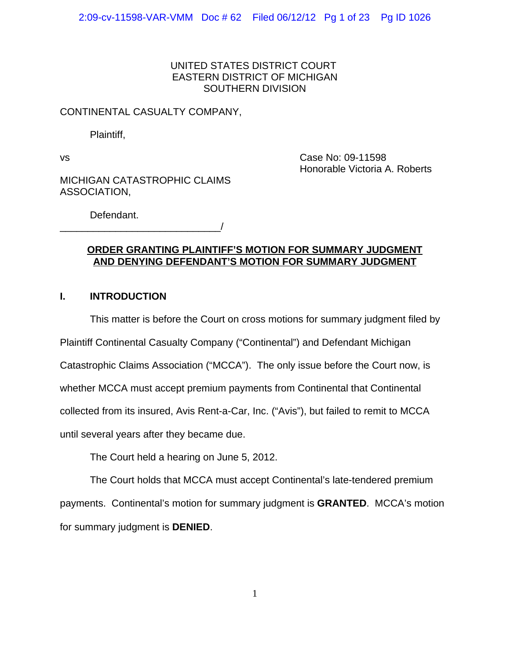## UNITED STATES DISTRICT COURT EASTERN DISTRICT OF MICHIGAN SOUTHERN DIVISION

## CONTINENTAL CASUALTY COMPANY,

Plaintiff,

vs Case No: 09-11598 Honorable Victoria A. Roberts

MICHIGAN CATASTROPHIC CLAIMS ASSOCIATION,

\_\_\_\_\_\_\_\_\_\_\_\_\_\_\_\_\_\_\_\_\_\_\_\_\_\_\_\_\_/

Defendant.

## **ORDER GRANTING PLAINTIFF'S MOTION FOR SUMMARY JUDGMENT AND DENYING DEFENDANT'S MOTION FOR SUMMARY JUDGMENT**

# **I. INTRODUCTION**

This matter is before the Court on cross motions for summary judgment filed by

Plaintiff Continental Casualty Company ("Continental") and Defendant Michigan

Catastrophic Claims Association ("MCCA"). The only issue before the Court now, is

whether MCCA must accept premium payments from Continental that Continental

collected from its insured, Avis Rent-a-Car, Inc. ("Avis"), but failed to remit to MCCA

until several years after they became due.

The Court held a hearing on June 5, 2012.

The Court holds that MCCA must accept Continental's late-tendered premium payments. Continental's motion for summary judgment is **GRANTED**. MCCA's motion for summary judgment is **DENIED**.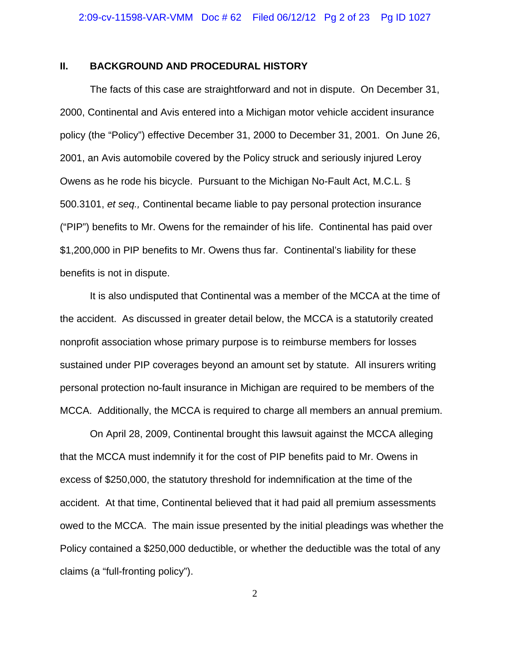## **II. BACKGROUND AND PROCEDURAL HISTORY**

The facts of this case are straightforward and not in dispute. On December 31, 2000, Continental and Avis entered into a Michigan motor vehicle accident insurance policy (the "Policy") effective December 31, 2000 to December 31, 2001. On June 26, 2001, an Avis automobile covered by the Policy struck and seriously injured Leroy Owens as he rode his bicycle. Pursuant to the Michigan No-Fault Act, M.C.L. § 500.3101, *et seq.,* Continental became liable to pay personal protection insurance ("PIP") benefits to Mr. Owens for the remainder of his life. Continental has paid over \$1,200,000 in PIP benefits to Mr. Owens thus far. Continental's liability for these benefits is not in dispute.

It is also undisputed that Continental was a member of the MCCA at the time of the accident. As discussed in greater detail below, the MCCA is a statutorily created nonprofit association whose primary purpose is to reimburse members for losses sustained under PIP coverages beyond an amount set by statute. All insurers writing personal protection no-fault insurance in Michigan are required to be members of the MCCA. Additionally, the MCCA is required to charge all members an annual premium.

On April 28, 2009, Continental brought this lawsuit against the MCCA alleging that the MCCA must indemnify it for the cost of PIP benefits paid to Mr. Owens in excess of \$250,000, the statutory threshold for indemnification at the time of the accident. At that time, Continental believed that it had paid all premium assessments owed to the MCCA. The main issue presented by the initial pleadings was whether the Policy contained a \$250,000 deductible, or whether the deductible was the total of any claims (a "full-fronting policy").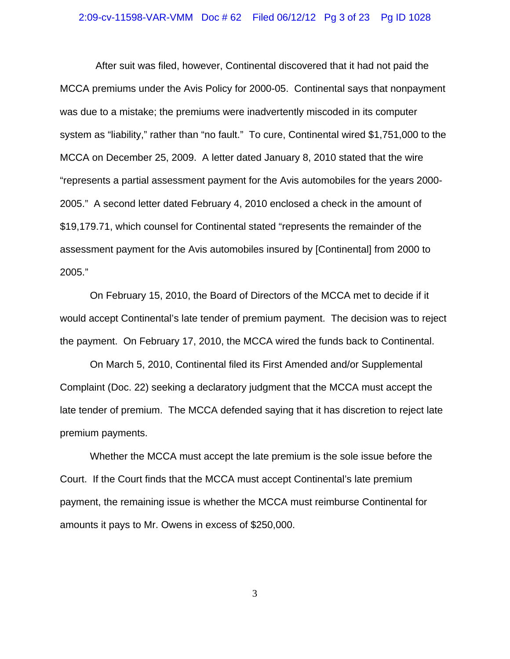#### 2:09-cv-11598-VAR-VMM Doc # 62 Filed 06/12/12 Pg 3 of 23 Pg ID 1028

 After suit was filed, however, Continental discovered that it had not paid the MCCA premiums under the Avis Policy for 2000-05. Continental says that nonpayment was due to a mistake; the premiums were inadvertently miscoded in its computer system as "liability," rather than "no fault." To cure, Continental wired \$1,751,000 to the MCCA on December 25, 2009. A letter dated January 8, 2010 stated that the wire "represents a partial assessment payment for the Avis automobiles for the years 2000- 2005." A second letter dated February 4, 2010 enclosed a check in the amount of \$19,179.71, which counsel for Continental stated "represents the remainder of the assessment payment for the Avis automobiles insured by [Continental] from 2000 to 2005."

On February 15, 2010, the Board of Directors of the MCCA met to decide if it would accept Continental's late tender of premium payment. The decision was to reject the payment. On February 17, 2010, the MCCA wired the funds back to Continental.

On March 5, 2010, Continental filed its First Amended and/or Supplemental Complaint (Doc. 22) seeking a declaratory judgment that the MCCA must accept the late tender of premium. The MCCA defended saying that it has discretion to reject late premium payments.

Whether the MCCA must accept the late premium is the sole issue before the Court. If the Court finds that the MCCA must accept Continental's late premium payment, the remaining issue is whether the MCCA must reimburse Continental for amounts it pays to Mr. Owens in excess of \$250,000.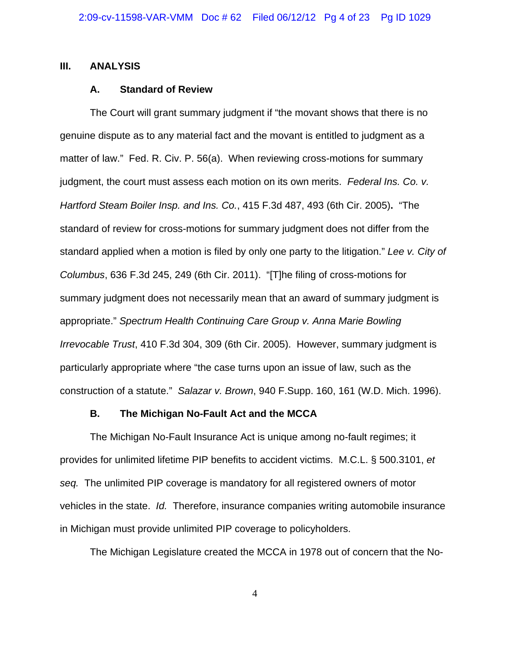### **III. ANALYSIS**

#### **A. Standard of Review**

The Court will grant summary judgment if "the movant shows that there is no genuine dispute as to any material fact and the movant is entitled to judgment as a matter of law." Fed. R. Civ. P. 56(a). When reviewing cross-motions for summary judgment, the court must assess each motion on its own merits.*Federal Ins. Co. v. Hartford Steam Boiler Insp. and Ins. Co.*, 415 F.3d 487, 493 (6th Cir. 2005)**.** "The standard of review for cross-motions for summary judgment does not differ from the standard applied when a motion is filed by only one party to the litigation." *Lee v. City of Columbus*, 636 F.3d 245, 249 (6th Cir. 2011)."[T]he filing of cross-motions for summary judgment does not necessarily mean that an award of summary judgment is appropriate." *Spectrum Health Continuing Care Group v. Anna Marie Bowling Irrevocable Trust*, 410 F.3d 304, 309 (6th Cir. 2005).However, summary judgment is particularly appropriate where "the case turns upon an issue of law, such as the construction of a statute." *Salazar v. Brown*, 940 F.Supp. 160, 161 (W.D. Mich. 1996).

#### **B. The Michigan No-Fault Act and the MCCA**

The Michigan No-Fault Insurance Act is unique among no-fault regimes; it provides for unlimited lifetime PIP benefits to accident victims. M.C.L. § 500.3101, *et seq.* The unlimited PIP coverage is mandatory for all registered owners of motor vehicles in the state. *Id.* Therefore, insurance companies writing automobile insurance in Michigan must provide unlimited PIP coverage to policyholders.

The Michigan Legislature created the MCCA in 1978 out of concern that the No-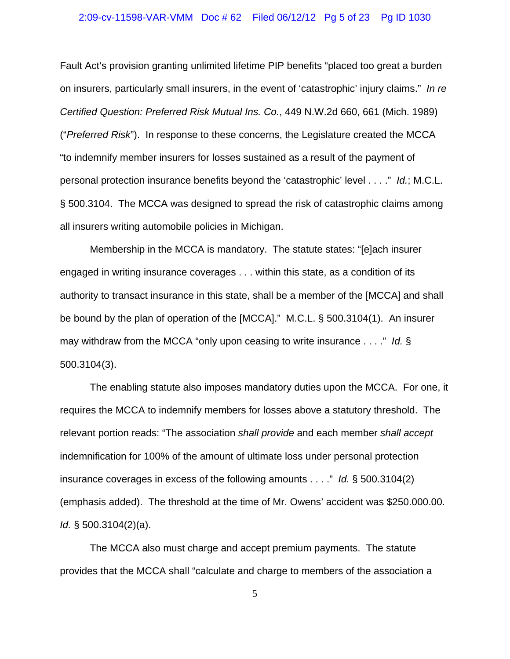#### 2:09-cv-11598-VAR-VMM Doc # 62 Filed 06/12/12 Pg 5 of 23 Pg ID 1030

Fault Act's provision granting unlimited lifetime PIP benefits "placed too great a burden on insurers, particularly small insurers, in the event of 'catastrophic' injury claims." *In re Certified Question: Preferred Risk Mutual Ins. Co.*, 449 N.W.2d 660, 661 (Mich. 1989) ("*Preferred Risk*"). In response to these concerns, the Legislature created the MCCA "to indemnify member insurers for losses sustained as a result of the payment of personal protection insurance benefits beyond the 'catastrophic' level . . . ." *Id.*; M.C.L. § 500.3104. The MCCA was designed to spread the risk of catastrophic claims among all insurers writing automobile policies in Michigan.

Membership in the MCCA is mandatory. The statute states: "[e]ach insurer engaged in writing insurance coverages . . . within this state, as a condition of its authority to transact insurance in this state, shall be a member of the [MCCA] and shall be bound by the plan of operation of the [MCCA]." M.C.L. § 500.3104(1). An insurer may withdraw from the MCCA "only upon ceasing to write insurance . . . ." *Id.* § 500.3104(3).

The enabling statute also imposes mandatory duties upon the MCCA. For one, it requires the MCCA to indemnify members for losses above a statutory threshold. The relevant portion reads: "The association *shall provide* and each member *shall accept* indemnification for 100% of the amount of ultimate loss under personal protection insurance coverages in excess of the following amounts . . . ." *Id.* § 500.3104(2) (emphasis added). The threshold at the time of Mr. Owens' accident was \$250.000.00. *Id.* § 500.3104(2)(a).

The MCCA also must charge and accept premium payments. The statute provides that the MCCA shall "calculate and charge to members of the association a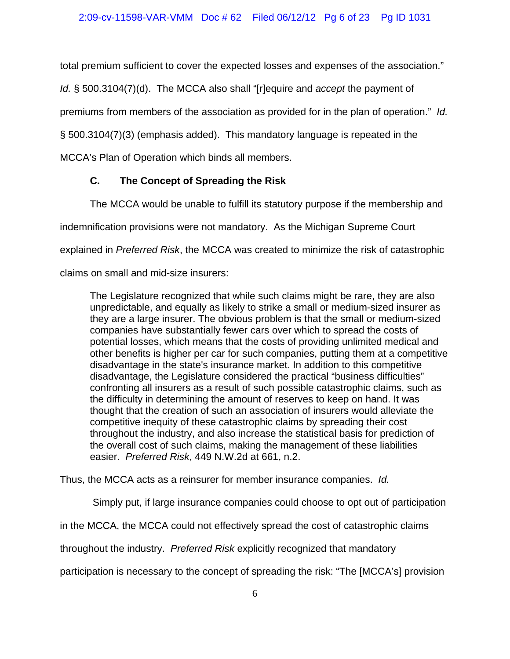total premium sufficient to cover the expected losses and expenses of the association."

*Id.* § 500.3104(7)(d). The MCCA also shall "[r]equire and *accept* the payment of

premiums from members of the association as provided for in the plan of operation." *Id.*

§ 500.3104(7)(3) (emphasis added). This mandatory language is repeated in the

MCCA's Plan of Operation which binds all members.

# **C. The Concept of Spreading the Risk**

The MCCA would be unable to fulfill its statutory purpose if the membership and

indemnification provisions were not mandatory. As the Michigan Supreme Court

explained in *Preferred Risk*, the MCCA was created to minimize the risk of catastrophic

claims on small and mid-size insurers:

The Legislature recognized that while such claims might be rare, they are also unpredictable, and equally as likely to strike a small or medium-sized insurer as they are a large insurer. The obvious problem is that the small or medium-sized companies have substantially fewer cars over which to spread the costs of potential losses, which means that the costs of providing unlimited medical and other benefits is higher per car for such companies, putting them at a competitive disadvantage in the state's insurance market. In addition to this competitive disadvantage, the Legislature considered the practical "business difficulties" confronting all insurers as a result of such possible catastrophic claims, such as the difficulty in determining the amount of reserves to keep on hand. It was thought that the creation of such an association of insurers would alleviate the competitive inequity of these catastrophic claims by spreading their cost throughout the industry, and also increase the statistical basis for prediction of the overall cost of such claims, making the management of these liabilities easier. *Preferred Risk*, 449 N.W.2d at 661, n.2.

Thus, the MCCA acts as a reinsurer for member insurance companies. *Id.*

Simply put, if large insurance companies could choose to opt out of participation

in the MCCA, the MCCA could not effectively spread the cost of catastrophic claims

throughout the industry. *Preferred Risk* explicitly recognized that mandatory

participation is necessary to the concept of spreading the risk: "The [MCCA's] provision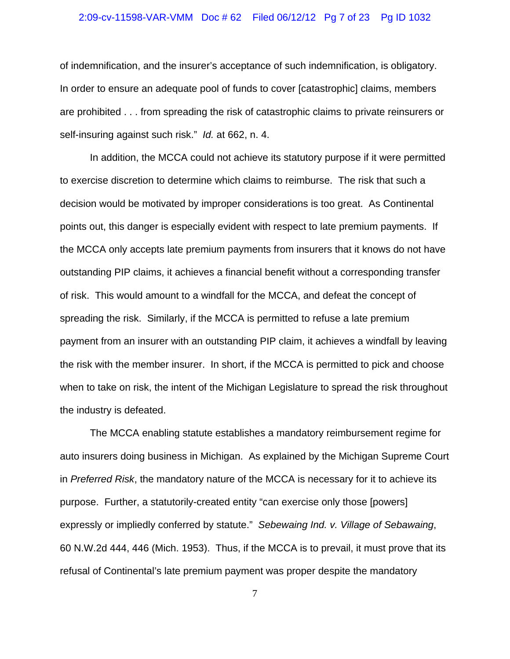#### 2:09-cv-11598-VAR-VMM Doc # 62 Filed 06/12/12 Pg 7 of 23 Pg ID 1032

of indemnification, and the insurer's acceptance of such indemnification, is obligatory. In order to ensure an adequate pool of funds to cover [catastrophic] claims, members are prohibited . . . from spreading the risk of catastrophic claims to private reinsurers or self-insuring against such risk." *Id.* at 662, n. 4.

In addition, the MCCA could not achieve its statutory purpose if it were permitted to exercise discretion to determine which claims to reimburse. The risk that such a decision would be motivated by improper considerations is too great. As Continental points out, this danger is especially evident with respect to late premium payments. If the MCCA only accepts late premium payments from insurers that it knows do not have outstanding PIP claims, it achieves a financial benefit without a corresponding transfer of risk. This would amount to a windfall for the MCCA, and defeat the concept of spreading the risk. Similarly, if the MCCA is permitted to refuse a late premium payment from an insurer with an outstanding PIP claim, it achieves a windfall by leaving the risk with the member insurer. In short, if the MCCA is permitted to pick and choose when to take on risk, the intent of the Michigan Legislature to spread the risk throughout the industry is defeated.

The MCCA enabling statute establishes a mandatory reimbursement regime for auto insurers doing business in Michigan. As explained by the Michigan Supreme Court in *Preferred Risk*, the mandatory nature of the MCCA is necessary for it to achieve its purpose. Further, a statutorily-created entity "can exercise only those [powers] expressly or impliedly conferred by statute." *Sebewaing Ind. v. Village of Sebawaing*, 60 N.W.2d 444, 446 (Mich. 1953). Thus, if the MCCA is to prevail, it must prove that its refusal of Continental's late premium payment was proper despite the mandatory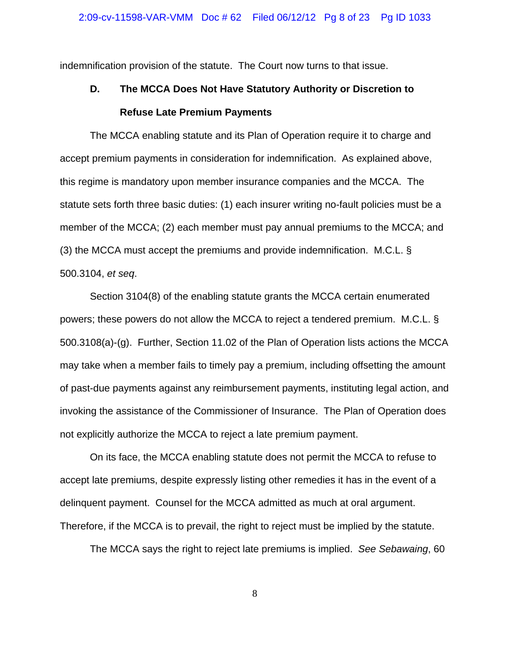indemnification provision of the statute. The Court now turns to that issue.

# **D. The MCCA Does Not Have Statutory Authority or Discretion to Refuse Late Premium Payments**

The MCCA enabling statute and its Plan of Operation require it to charge and accept premium payments in consideration for indemnification. As explained above, this regime is mandatory upon member insurance companies and the MCCA. The statute sets forth three basic duties: (1) each insurer writing no-fault policies must be a member of the MCCA; (2) each member must pay annual premiums to the MCCA; and (3) the MCCA must accept the premiums and provide indemnification. M.C.L. § 500.3104, *et seq*.

Section 3104(8) of the enabling statute grants the MCCA certain enumerated powers; these powers do not allow the MCCA to reject a tendered premium. M.C.L. § 500.3108(a)-(g). Further, Section 11.02 of the Plan of Operation lists actions the MCCA may take when a member fails to timely pay a premium, including offsetting the amount of past-due payments against any reimbursement payments, instituting legal action, and invoking the assistance of the Commissioner of Insurance. The Plan of Operation does not explicitly authorize the MCCA to reject a late premium payment.

On its face, the MCCA enabling statute does not permit the MCCA to refuse to accept late premiums, despite expressly listing other remedies it has in the event of a delinquent payment. Counsel for the MCCA admitted as much at oral argument. Therefore, if the MCCA is to prevail, the right to reject must be implied by the statute.

The MCCA says the right to reject late premiums is implied. *See Sebawaing*, 60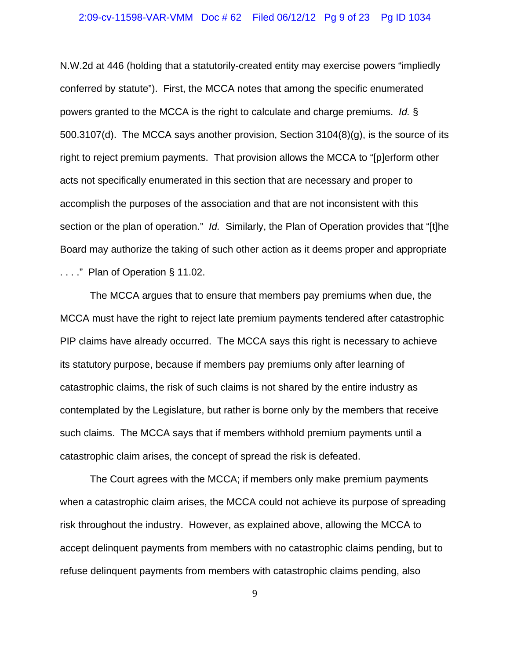## 2:09-cv-11598-VAR-VMM Doc # 62 Filed 06/12/12 Pg 9 of 23 Pg ID 1034

N.W.2d at 446 (holding that a statutorily-created entity may exercise powers "impliedly conferred by statute"). First, the MCCA notes that among the specific enumerated powers granted to the MCCA is the right to calculate and charge premiums. *Id.* § 500.3107(d). The MCCA says another provision, Section 3104(8)(g), is the source of its right to reject premium payments. That provision allows the MCCA to "[p]erform other acts not specifically enumerated in this section that are necessary and proper to accomplish the purposes of the association and that are not inconsistent with this section or the plan of operation." *Id.* Similarly, the Plan of Operation provides that "[t]he Board may authorize the taking of such other action as it deems proper and appropriate

. . . ." Plan of Operation § 11.02.

The MCCA argues that to ensure that members pay premiums when due, the MCCA must have the right to reject late premium payments tendered after catastrophic PIP claims have already occurred. The MCCA says this right is necessary to achieve its statutory purpose, because if members pay premiums only after learning of catastrophic claims, the risk of such claims is not shared by the entire industry as contemplated by the Legislature, but rather is borne only by the members that receive such claims. The MCCA says that if members withhold premium payments until a catastrophic claim arises, the concept of spread the risk is defeated.

The Court agrees with the MCCA; if members only make premium payments when a catastrophic claim arises, the MCCA could not achieve its purpose of spreading risk throughout the industry. However, as explained above, allowing the MCCA to accept delinquent payments from members with no catastrophic claims pending, but to refuse delinquent payments from members with catastrophic claims pending, also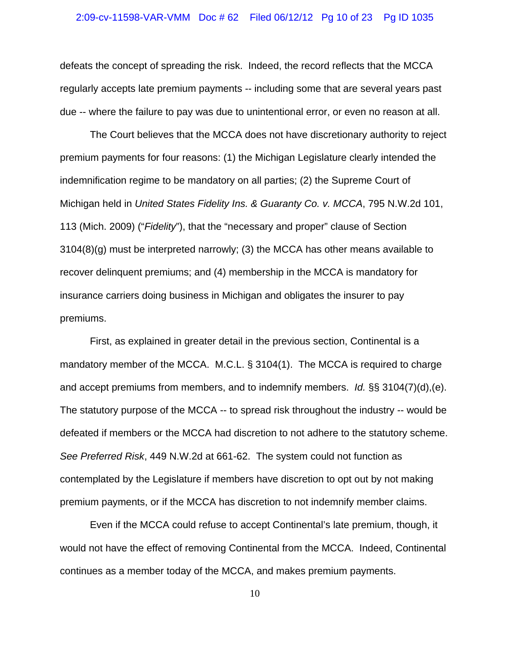#### 2:09-cv-11598-VAR-VMM Doc # 62 Filed 06/12/12 Pg 10 of 23 Pg ID 1035

defeats the concept of spreading the risk. Indeed, the record reflects that the MCCA regularly accepts late premium payments -- including some that are several years past due -- where the failure to pay was due to unintentional error, or even no reason at all.

The Court believes that the MCCA does not have discretionary authority to reject premium payments for four reasons: (1) the Michigan Legislature clearly intended the indemnification regime to be mandatory on all parties; (2) the Supreme Court of Michigan held in *United States Fidelity Ins. & Guaranty Co. v. MCCA*, 795 N.W.2d 101, 113 (Mich. 2009) ("*Fidelity*"), that the "necessary and proper" clause of Section 3104(8)(g) must be interpreted narrowly; (3) the MCCA has other means available to recover delinquent premiums; and (4) membership in the MCCA is mandatory for insurance carriers doing business in Michigan and obligates the insurer to pay premiums.

First, as explained in greater detail in the previous section, Continental is a mandatory member of the MCCA. M.C.L. § 3104(1). The MCCA is required to charge and accept premiums from members, and to indemnify members. *Id.* §§ 3104(7)(d),(e). The statutory purpose of the MCCA -- to spread risk throughout the industry -- would be defeated if members or the MCCA had discretion to not adhere to the statutory scheme. *See Preferred Risk*, 449 N.W.2d at 661-62. The system could not function as contemplated by the Legislature if members have discretion to opt out by not making premium payments, or if the MCCA has discretion to not indemnify member claims.

Even if the MCCA could refuse to accept Continental's late premium, though, it would not have the effect of removing Continental from the MCCA. Indeed, Continental continues as a member today of the MCCA, and makes premium payments.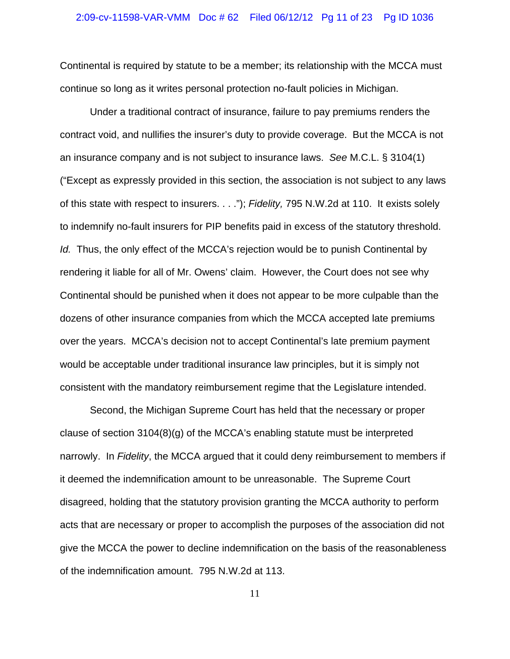#### 2:09-cv-11598-VAR-VMM Doc # 62 Filed 06/12/12 Pg 11 of 23 Pg ID 1036

Continental is required by statute to be a member; its relationship with the MCCA must continue so long as it writes personal protection no-fault policies in Michigan.

Under a traditional contract of insurance, failure to pay premiums renders the contract void, and nullifies the insurer's duty to provide coverage. But the MCCA is not an insurance company and is not subject to insurance laws. *See* M.C.L. § 3104(1) ("Except as expressly provided in this section, the association is not subject to any laws of this state with respect to insurers. . . ."); *Fidelity,* 795 N.W.2d at 110. It exists solely to indemnify no-fault insurers for PIP benefits paid in excess of the statutory threshold. *Id.* Thus, the only effect of the MCCA's rejection would be to punish Continental by rendering it liable for all of Mr. Owens' claim. However, the Court does not see why Continental should be punished when it does not appear to be more culpable than the dozens of other insurance companies from which the MCCA accepted late premiums over the years. MCCA's decision not to accept Continental's late premium payment would be acceptable under traditional insurance law principles, but it is simply not consistent with the mandatory reimbursement regime that the Legislature intended.

Second, the Michigan Supreme Court has held that the necessary or proper clause of section 3104(8)(g) of the MCCA's enabling statute must be interpreted narrowly. In *Fidelity*, the MCCA argued that it could deny reimbursement to members if it deemed the indemnification amount to be unreasonable. The Supreme Court disagreed, holding that the statutory provision granting the MCCA authority to perform acts that are necessary or proper to accomplish the purposes of the association did not give the MCCA the power to decline indemnification on the basis of the reasonableness of the indemnification amount. 795 N.W.2d at 113.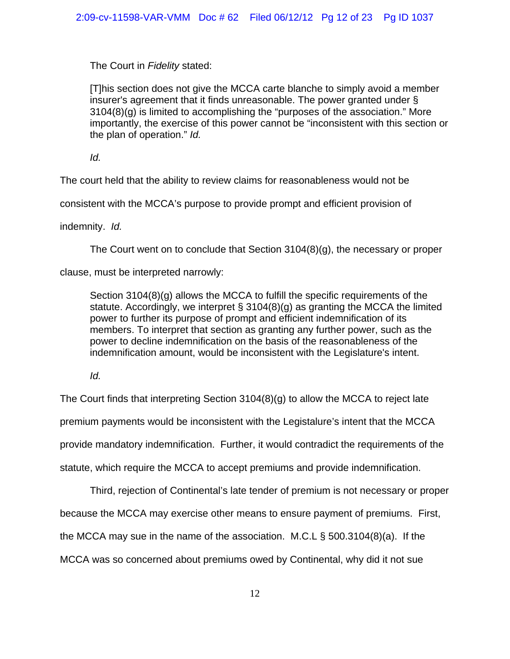The Court in *Fidelity* stated:

[T]his section does not give the MCCA carte blanche to simply avoid a member insurer's agreement that it finds unreasonable. The power granted under § 3104(8)(g) is limited to accomplishing the "purposes of the association." More importantly, the exercise of this power cannot be "inconsistent with this section or the plan of operation." *Id.*

*Id.*

The court held that the ability to review claims for reasonableness would not be

consistent with the MCCA's purpose to provide prompt and efficient provision of

indemnity. *Id.*

The Court went on to conclude that Section 3104(8)(g), the necessary or proper

clause, must be interpreted narrowly:

Section 3104(8)(g) allows the MCCA to fulfill the specific requirements of the statute. Accordingly, we interpret § 3104(8)(g) as granting the MCCA the limited power to further its purpose of prompt and efficient indemnification of its members. To interpret that section as granting any further power, such as the power to decline indemnification on the basis of the reasonableness of the indemnification amount, would be inconsistent with the Legislature's intent.

*Id.*

The Court finds that interpreting Section 3104(8)(g) to allow the MCCA to reject late premium payments would be inconsistent with the Legistalure's intent that the MCCA provide mandatory indemnification. Further, it would contradict the requirements of the statute, which require the MCCA to accept premiums and provide indemnification.

Third, rejection of Continental's late tender of premium is not necessary or proper

because the MCCA may exercise other means to ensure payment of premiums. First,

the MCCA may sue in the name of the association. M.C.L § 500.3104(8)(a). If the

MCCA was so concerned about premiums owed by Continental, why did it not sue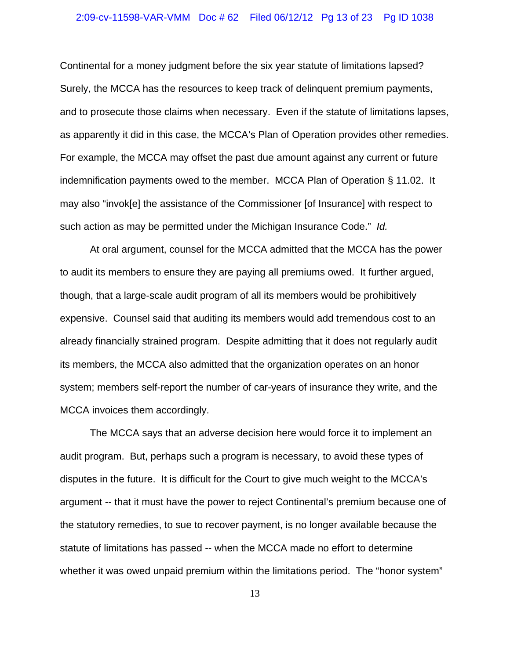#### 2:09-cv-11598-VAR-VMM Doc # 62 Filed 06/12/12 Pg 13 of 23 Pg ID 1038

Continental for a money judgment before the six year statute of limitations lapsed? Surely, the MCCA has the resources to keep track of delinquent premium payments, and to prosecute those claims when necessary. Even if the statute of limitations lapses, as apparently it did in this case, the MCCA's Plan of Operation provides other remedies. For example, the MCCA may offset the past due amount against any current or future indemnification payments owed to the member. MCCA Plan of Operation § 11.02. It may also "invok[e] the assistance of the Commissioner [of Insurance] with respect to such action as may be permitted under the Michigan Insurance Code." *Id.* 

At oral argument, counsel for the MCCA admitted that the MCCA has the power to audit its members to ensure they are paying all premiums owed. It further argued, though, that a large-scale audit program of all its members would be prohibitively expensive. Counsel said that auditing its members would add tremendous cost to an already financially strained program. Despite admitting that it does not regularly audit its members, the MCCA also admitted that the organization operates on an honor system; members self-report the number of car-years of insurance they write, and the MCCA invoices them accordingly.

The MCCA says that an adverse decision here would force it to implement an audit program. But, perhaps such a program is necessary, to avoid these types of disputes in the future. It is difficult for the Court to give much weight to the MCCA's argument -- that it must have the power to reject Continental's premium because one of the statutory remedies, to sue to recover payment, is no longer available because the statute of limitations has passed -- when the MCCA made no effort to determine whether it was owed unpaid premium within the limitations period. The "honor system"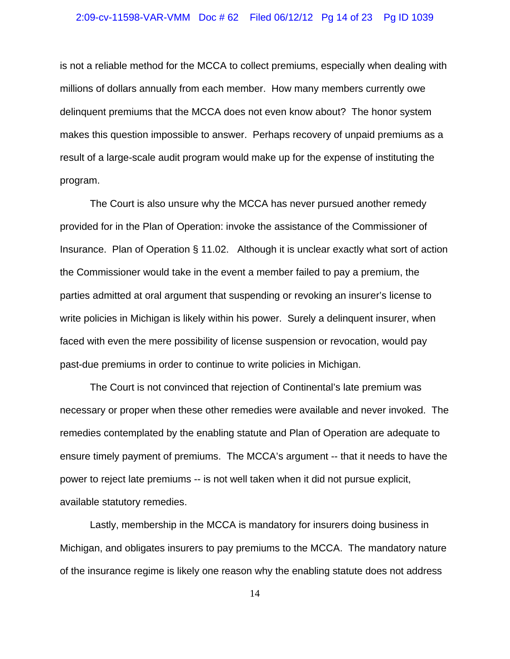#### 2:09-cv-11598-VAR-VMM Doc # 62 Filed 06/12/12 Pg 14 of 23 Pg ID 1039

is not a reliable method for the MCCA to collect premiums, especially when dealing with millions of dollars annually from each member. How many members currently owe delinquent premiums that the MCCA does not even know about? The honor system makes this question impossible to answer. Perhaps recovery of unpaid premiums as a result of a large-scale audit program would make up for the expense of instituting the program.

The Court is also unsure why the MCCA has never pursued another remedy provided for in the Plan of Operation: invoke the assistance of the Commissioner of Insurance. Plan of Operation § 11.02. Although it is unclear exactly what sort of action the Commissioner would take in the event a member failed to pay a premium, the parties admitted at oral argument that suspending or revoking an insurer's license to write policies in Michigan is likely within his power. Surely a delinquent insurer, when faced with even the mere possibility of license suspension or revocation, would pay past-due premiums in order to continue to write policies in Michigan.

The Court is not convinced that rejection of Continental's late premium was necessary or proper when these other remedies were available and never invoked. The remedies contemplated by the enabling statute and Plan of Operation are adequate to ensure timely payment of premiums. The MCCA's argument -- that it needs to have the power to reject late premiums -- is not well taken when it did not pursue explicit, available statutory remedies.

Lastly, membership in the MCCA is mandatory for insurers doing business in Michigan, and obligates insurers to pay premiums to the MCCA. The mandatory nature of the insurance regime is likely one reason why the enabling statute does not address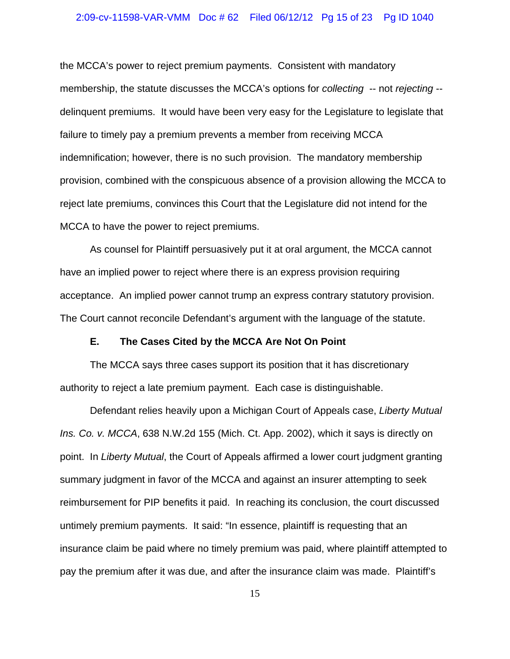#### 2:09-cv-11598-VAR-VMM Doc # 62 Filed 06/12/12 Pg 15 of 23 Pg ID 1040

the MCCA's power to reject premium payments. Consistent with mandatory membership, the statute discusses the MCCA's options for *collecting* -- not *rejecting* - delinquent premiums. It would have been very easy for the Legislature to legislate that failure to timely pay a premium prevents a member from receiving MCCA indemnification; however, there is no such provision. The mandatory membership provision, combined with the conspicuous absence of a provision allowing the MCCA to reject late premiums, convinces this Court that the Legislature did not intend for the MCCA to have the power to reject premiums.

As counsel for Plaintiff persuasively put it at oral argument, the MCCA cannot have an implied power to reject where there is an express provision requiring acceptance. An implied power cannot trump an express contrary statutory provision. The Court cannot reconcile Defendant's argument with the language of the statute.

### **E. The Cases Cited by the MCCA Are Not On Point**

The MCCA says three cases support its position that it has discretionary authority to reject a late premium payment. Each case is distinguishable.

Defendant relies heavily upon a Michigan Court of Appeals case, *Liberty Mutual Ins. Co. v. MCCA*, 638 N.W.2d 155 (Mich. Ct. App. 2002), which it says is directly on point. In *Liberty Mutual*, the Court of Appeals affirmed a lower court judgment granting summary judgment in favor of the MCCA and against an insurer attempting to seek reimbursement for PIP benefits it paid. In reaching its conclusion, the court discussed untimely premium payments. It said: "In essence, plaintiff is requesting that an insurance claim be paid where no timely premium was paid, where plaintiff attempted to pay the premium after it was due, and after the insurance claim was made. Plaintiff's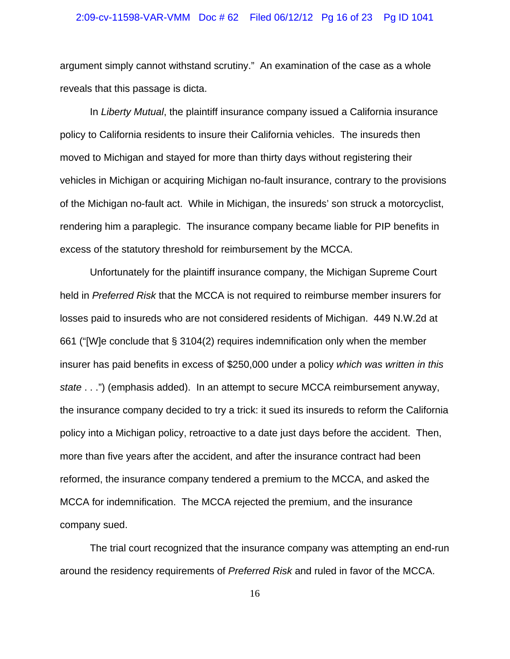#### 2:09-cv-11598-VAR-VMM Doc # 62 Filed 06/12/12 Pg 16 of 23 Pg ID 1041

argument simply cannot withstand scrutiny." An examination of the case as a whole reveals that this passage is dicta.

In *Liberty Mutual*, the plaintiff insurance company issued a California insurance policy to California residents to insure their California vehicles. The insureds then moved to Michigan and stayed for more than thirty days without registering their vehicles in Michigan or acquiring Michigan no-fault insurance, contrary to the provisions of the Michigan no-fault act. While in Michigan, the insureds' son struck a motorcyclist, rendering him a paraplegic. The insurance company became liable for PIP benefits in excess of the statutory threshold for reimbursement by the MCCA.

Unfortunately for the plaintiff insurance company, the Michigan Supreme Court held in *Preferred Risk* that the MCCA is not required to reimburse member insurers for losses paid to insureds who are not considered residents of Michigan. 449 N.W.2d at 661 ("[W]e conclude that § 3104(2) requires indemnification only when the member insurer has paid benefits in excess of \$250,000 under a policy *which was written in this state* . . .") (emphasis added). In an attempt to secure MCCA reimbursement anyway, the insurance company decided to try a trick: it sued its insureds to reform the California policy into a Michigan policy, retroactive to a date just days before the accident. Then, more than five years after the accident, and after the insurance contract had been reformed, the insurance company tendered a premium to the MCCA, and asked the MCCA for indemnification. The MCCA rejected the premium, and the insurance company sued.

The trial court recognized that the insurance company was attempting an end-run around the residency requirements of *Preferred Risk* and ruled in favor of the MCCA.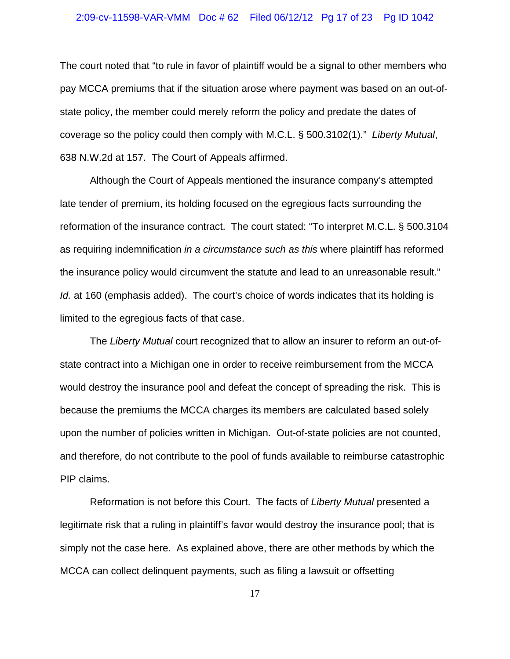#### 2:09-cv-11598-VAR-VMM Doc # 62 Filed 06/12/12 Pg 17 of 23 Pg ID 1042

The court noted that "to rule in favor of plaintiff would be a signal to other members who pay MCCA premiums that if the situation arose where payment was based on an out-ofstate policy, the member could merely reform the policy and predate the dates of coverage so the policy could then comply with M.C.L. § 500.3102(1)." *Liberty Mutual*, 638 N.W.2d at 157. The Court of Appeals affirmed.

Although the Court of Appeals mentioned the insurance company's attempted late tender of premium, its holding focused on the egregious facts surrounding the reformation of the insurance contract. The court stated: "To interpret M.C.L. § 500.3104 as requiring indemnification *in a circumstance such as this* where plaintiff has reformed the insurance policy would circumvent the statute and lead to an unreasonable result." *Id.* at 160 (emphasis added). The court's choice of words indicates that its holding is limited to the egregious facts of that case.

The *Liberty Mutual* court recognized that to allow an insurer to reform an out-ofstate contract into a Michigan one in order to receive reimbursement from the MCCA would destroy the insurance pool and defeat the concept of spreading the risk. This is because the premiums the MCCA charges its members are calculated based solely upon the number of policies written in Michigan. Out-of-state policies are not counted, and therefore, do not contribute to the pool of funds available to reimburse catastrophic PIP claims.

Reformation is not before this Court. The facts of *Liberty Mutual* presented a legitimate risk that a ruling in plaintiff's favor would destroy the insurance pool; that is simply not the case here. As explained above, there are other methods by which the MCCA can collect delinquent payments, such as filing a lawsuit or offsetting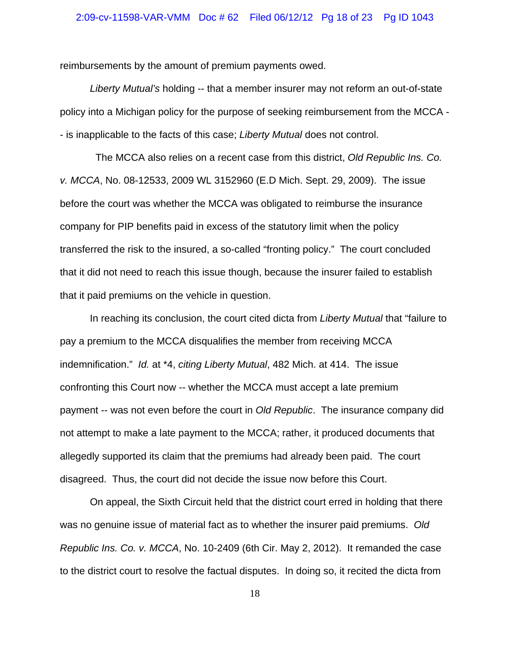#### 2:09-cv-11598-VAR-VMM Doc # 62 Filed 06/12/12 Pg 18 of 23 Pg ID 1043

reimbursements by the amount of premium payments owed.

*Liberty Mutual's* holding -- that a member insurer may not reform an out-of-state policy into a Michigan policy for the purpose of seeking reimbursement from the MCCA - - is inapplicable to the facts of this case; *Liberty Mutual* does not control.

 The MCCA also relies on a recent case from this district, *Old Republic Ins. Co. v. MCCA*, No. 08-12533, 2009 WL 3152960 (E.D Mich. Sept. 29, 2009). The issue before the court was whether the MCCA was obligated to reimburse the insurance company for PIP benefits paid in excess of the statutory limit when the policy transferred the risk to the insured, a so-called "fronting policy." The court concluded that it did not need to reach this issue though, because the insurer failed to establish that it paid premiums on the vehicle in question.

In reaching its conclusion, the court cited dicta from *Liberty Mutual* that "failure to pay a premium to the MCCA disqualifies the member from receiving MCCA indemnification." *Id.* at \*4, *citing Liberty Mutual*, 482 Mich. at 414. The issue confronting this Court now -- whether the MCCA must accept a late premium payment -- was not even before the court in *Old Republic*. The insurance company did not attempt to make a late payment to the MCCA; rather, it produced documents that allegedly supported its claim that the premiums had already been paid. The court disagreed. Thus, the court did not decide the issue now before this Court.

On appeal, the Sixth Circuit held that the district court erred in holding that there was no genuine issue of material fact as to whether the insurer paid premiums. *Old Republic Ins. Co. v. MCCA*, No. 10-2409 (6th Cir. May 2, 2012). It remanded the case to the district court to resolve the factual disputes. In doing so, it recited the dicta from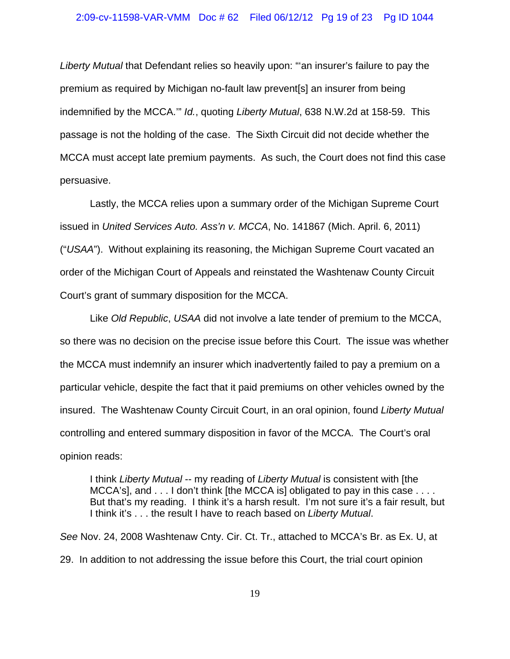#### 2:09-cv-11598-VAR-VMM Doc # 62 Filed 06/12/12 Pg 19 of 23 Pg ID 1044

*Liberty Mutual* that Defendant relies so heavily upon: "'an insurer's failure to pay the premium as required by Michigan no-fault law prevent[s] an insurer from being indemnified by the MCCA.'" *Id.*, quoting *Liberty Mutual*, 638 N.W.2d at 158-59. This passage is not the holding of the case. The Sixth Circuit did not decide whether the MCCA must accept late premium payments. As such, the Court does not find this case persuasive.

Lastly, the MCCA relies upon a summary order of the Michigan Supreme Court issued in *United Services Auto. Ass'n v. MCCA*, No. 141867 (Mich. April. 6, 2011) ("*USAA*"). Without explaining its reasoning, the Michigan Supreme Court vacated an order of the Michigan Court of Appeals and reinstated the Washtenaw County Circuit Court's grant of summary disposition for the MCCA.

Like *Old Republic*, *USAA* did not involve a late tender of premium to the MCCA, so there was no decision on the precise issue before this Court. The issue was whether the MCCA must indemnify an insurer which inadvertently failed to pay a premium on a particular vehicle, despite the fact that it paid premiums on other vehicles owned by the insured. The Washtenaw County Circuit Court, in an oral opinion, found *Liberty Mutual* controlling and entered summary disposition in favor of the MCCA. The Court's oral opinion reads:

I think *Liberty Mutual* -- my reading of *Liberty Mutual* is consistent with [the MCCA's], and . . . I don't think [the MCCA is] obligated to pay in this case . . . . But that's my reading. I think it's a harsh result. I'm not sure it's a fair result, but I think it's . . . the result I have to reach based on *Liberty Mutual*.

*See* Nov. 24, 2008 Washtenaw Cnty. Cir. Ct. Tr., attached to MCCA's Br. as Ex. U, at 29. In addition to not addressing the issue before this Court, the trial court opinion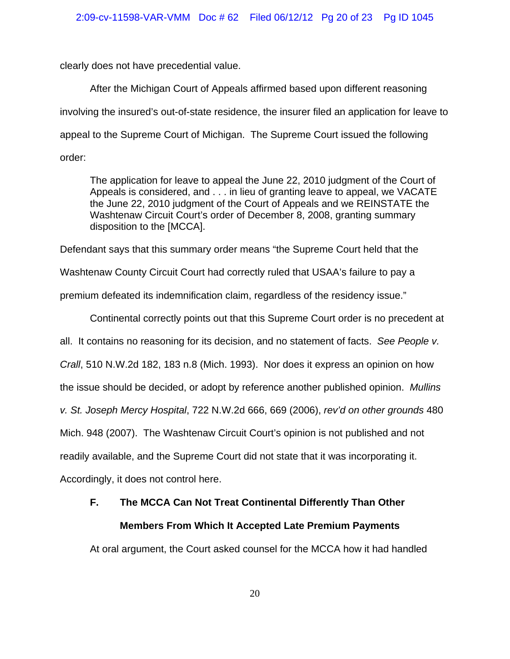clearly does not have precedential value.

After the Michigan Court of Appeals affirmed based upon different reasoning involving the insured's out-of-state residence, the insurer filed an application for leave to appeal to the Supreme Court of Michigan. The Supreme Court issued the following order:

The application for leave to appeal the June 22, 2010 judgment of the Court of Appeals is considered, and . . . in lieu of granting leave to appeal, we VACATE the June 22, 2010 judgment of the Court of Appeals and we REINSTATE the Washtenaw Circuit Court's order of December 8, 2008, granting summary disposition to the [MCCA].

Defendant says that this summary order means "the Supreme Court held that the Washtenaw County Circuit Court had correctly ruled that USAA's failure to pay a premium defeated its indemnification claim, regardless of the residency issue."

Continental correctly points out that this Supreme Court order is no precedent at all. It contains no reasoning for its decision, and no statement of facts. *See People v. Crall*, 510 N.W.2d 182, 183 n.8 (Mich. 1993). Nor does it express an opinion on how the issue should be decided, or adopt by reference another published opinion. *Mullins v. St. Joseph Mercy Hospital*, 722 N.W.2d 666, 669 (2006), *rev'd on other grounds* 480 Mich. 948 (2007). The Washtenaw Circuit Court's opinion is not published and not readily available, and the Supreme Court did not state that it was incorporating it. Accordingly, it does not control here.

# **F. The MCCA Can Not Treat Continental Differently Than Other Members From Which It Accepted Late Premium Payments**

At oral argument, the Court asked counsel for the MCCA how it had handled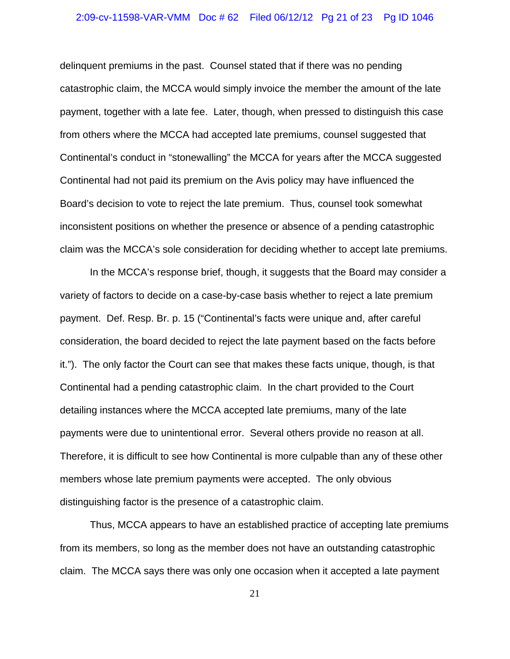#### 2:09-cv-11598-VAR-VMM Doc # 62 Filed 06/12/12 Pg 21 of 23 Pg ID 1046

delinquent premiums in the past. Counsel stated that if there was no pending catastrophic claim, the MCCA would simply invoice the member the amount of the late payment, together with a late fee. Later, though, when pressed to distinguish this case from others where the MCCA had accepted late premiums, counsel suggested that Continental's conduct in "stonewalling" the MCCA for years after the MCCA suggested Continental had not paid its premium on the Avis policy may have influenced the Board's decision to vote to reject the late premium. Thus, counsel took somewhat inconsistent positions on whether the presence or absence of a pending catastrophic claim was the MCCA's sole consideration for deciding whether to accept late premiums.

In the MCCA's response brief, though, it suggests that the Board may consider a variety of factors to decide on a case-by-case basis whether to reject a late premium payment. Def. Resp. Br. p. 15 ("Continental's facts were unique and, after careful consideration, the board decided to reject the late payment based on the facts before it."). The only factor the Court can see that makes these facts unique, though, is that Continental had a pending catastrophic claim. In the chart provided to the Court detailing instances where the MCCA accepted late premiums, many of the late payments were due to unintentional error. Several others provide no reason at all. Therefore, it is difficult to see how Continental is more culpable than any of these other members whose late premium payments were accepted. The only obvious distinguishing factor is the presence of a catastrophic claim.

 Thus, MCCA appears to have an established practice of accepting late premiums from its members, so long as the member does not have an outstanding catastrophic claim. The MCCA says there was only one occasion when it accepted a late payment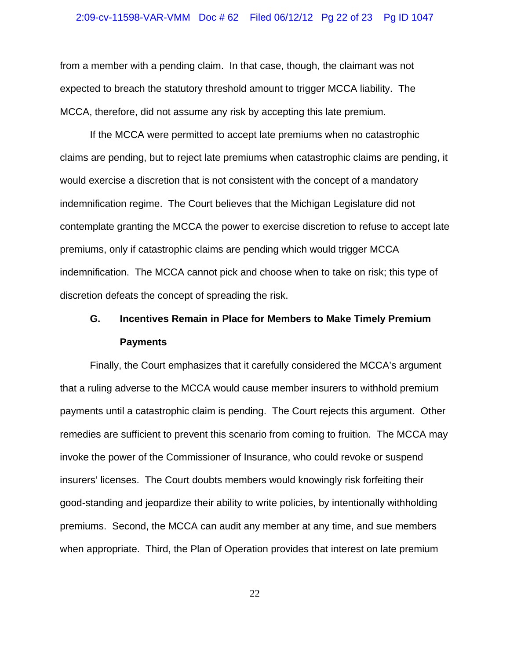#### 2:09-cv-11598-VAR-VMM Doc # 62 Filed 06/12/12 Pg 22 of 23 Pg ID 1047

from a member with a pending claim. In that case, though, the claimant was not expected to breach the statutory threshold amount to trigger MCCA liability. The MCCA, therefore, did not assume any risk by accepting this late premium.

If the MCCA were permitted to accept late premiums when no catastrophic claims are pending, but to reject late premiums when catastrophic claims are pending, it would exercise a discretion that is not consistent with the concept of a mandatory indemnification regime. The Court believes that the Michigan Legislature did not contemplate granting the MCCA the power to exercise discretion to refuse to accept late premiums, only if catastrophic claims are pending which would trigger MCCA indemnification. The MCCA cannot pick and choose when to take on risk; this type of discretion defeats the concept of spreading the risk.

# **G. Incentives Remain in Place for Members to Make Timely Premium Payments**

Finally, the Court emphasizes that it carefully considered the MCCA's argument that a ruling adverse to the MCCA would cause member insurers to withhold premium payments until a catastrophic claim is pending. The Court rejects this argument. Other remedies are sufficient to prevent this scenario from coming to fruition. The MCCA may invoke the power of the Commissioner of Insurance, who could revoke or suspend insurers' licenses. The Court doubts members would knowingly risk forfeiting their good-standing and jeopardize their ability to write policies, by intentionally withholding premiums. Second, the MCCA can audit any member at any time, and sue members when appropriate. Third, the Plan of Operation provides that interest on late premium